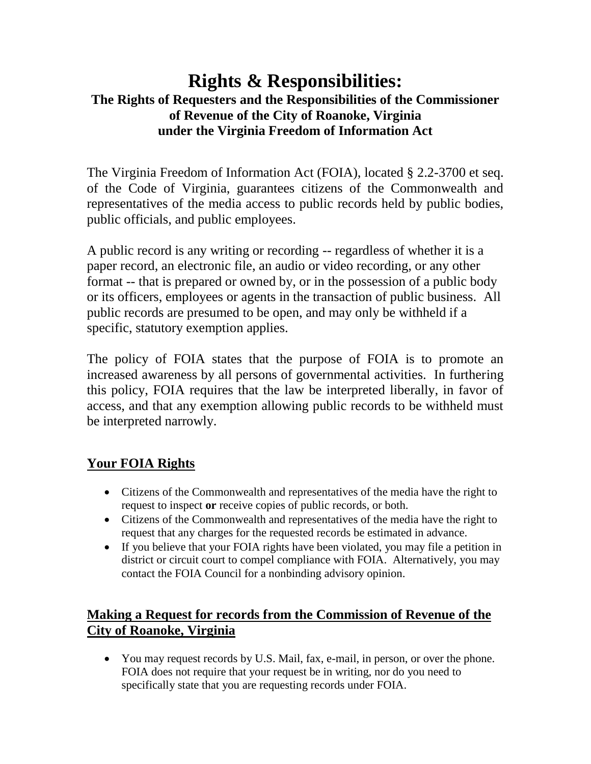# **Rights & Responsibilities: The Rights of Requesters and the Responsibilities of the Commissioner of Revenue of the City of Roanoke, Virginia under the Virginia Freedom of Information Act**

The Virginia Freedom of Information Act (FOIA), located § 2.2-3700 et seq. of the Code of Virginia, guarantees citizens of the Commonwealth and representatives of the media access to public records held by public bodies, public officials, and public employees.

A public record is any writing or recording -- regardless of whether it is a paper record, an electronic file, an audio or video recording, or any other format -- that is prepared or owned by, or in the possession of a public body or its officers, employees or agents in the transaction of public business. All public records are presumed to be open, and may only be withheld if a specific, statutory exemption applies.

The policy of FOIA states that the purpose of FOIA is to promote an increased awareness by all persons of governmental activities. In furthering this policy, FOIA requires that the law be interpreted liberally, in favor of access, and that any exemption allowing public records to be withheld must be interpreted narrowly.

# **Your FOIA Rights**

- Citizens of the Commonwealth and representatives of the media have the right to request to inspect **or** receive copies of public records, or both.
- Citizens of the Commonwealth and representatives of the media have the right to request that any charges for the requested records be estimated in advance.
- If you believe that your FOIA rights have been violated, you may file a petition in district or circuit court to compel compliance with FOIA. Alternatively, you may contact the FOIA Council for a nonbinding advisory opinion.

## **Making a Request for records from the Commission of Revenue of the City of Roanoke, Virginia**

 You may request records by U.S. Mail, fax, e-mail, in person, or over the phone. FOIA does not require that your request be in writing, nor do you need to specifically state that you are requesting records under FOIA.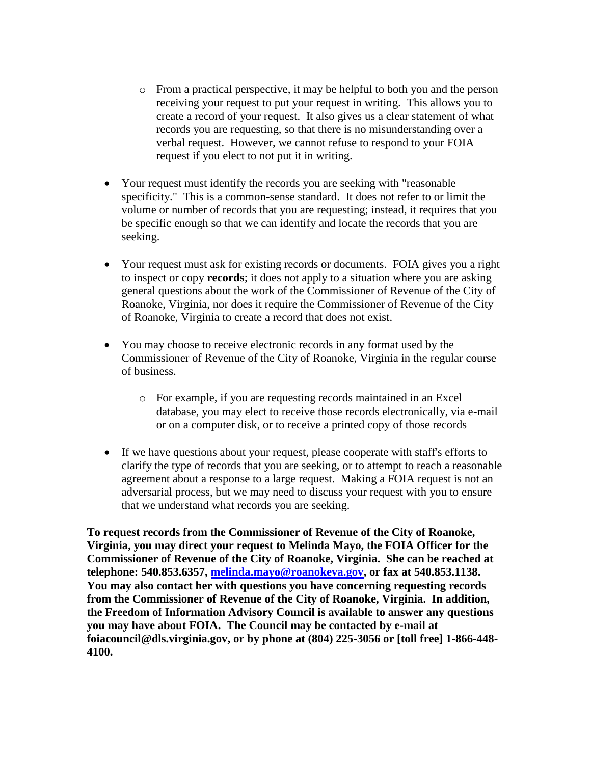- o From a practical perspective, it may be helpful to both you and the person receiving your request to put your request in writing. This allows you to create a record of your request. It also gives us a clear statement of what records you are requesting, so that there is no misunderstanding over a verbal request. However, we cannot refuse to respond to your FOIA request if you elect to not put it in writing.
- Your request must identify the records you are seeking with "reasonable" specificity." This is a common-sense standard. It does not refer to or limit the volume or number of records that you are requesting; instead, it requires that you be specific enough so that we can identify and locate the records that you are seeking.
- Your request must ask for existing records or documents. FOIA gives you a right to inspect or copy **records**; it does not apply to a situation where you are asking general questions about the work of the Commissioner of Revenue of the City of Roanoke, Virginia, nor does it require the Commissioner of Revenue of the City of Roanoke, Virginia to create a record that does not exist.
- You may choose to receive electronic records in any format used by the Commissioner of Revenue of the City of Roanoke, Virginia in the regular course of business.
	- o For example, if you are requesting records maintained in an Excel database, you may elect to receive those records electronically, via e-mail or on a computer disk, or to receive a printed copy of those records
- If we have questions about your request, please cooperate with staff's efforts to clarify the type of records that you are seeking, or to attempt to reach a reasonable agreement about a response to a large request. Making a FOIA request is not an adversarial process, but we may need to discuss your request with you to ensure that we understand what records you are seeking.

**To request records from the Commissioner of Revenue of the City of Roanoke, Virginia, you may direct your request to Melinda Mayo, the FOIA Officer for the Commissioner of Revenue of the City of Roanoke, Virginia. She can be reached at telephone: 540.853.6357, [melinda.mayo@roanokeva.gov,](mailto:melinda.mayo@roanokeva.gov) or fax at 540.853.1138. You may also contact her with questions you have concerning requesting records from the Commissioner of Revenue of the City of Roanoke, Virginia. In addition, the Freedom of Information Advisory Council is available to answer any questions you may have about FOIA. The Council may be contacted by e-mail at foiacouncil@dls.virginia.gov, or by phone at (804) 225-3056 or [toll free] 1-866-448- 4100.**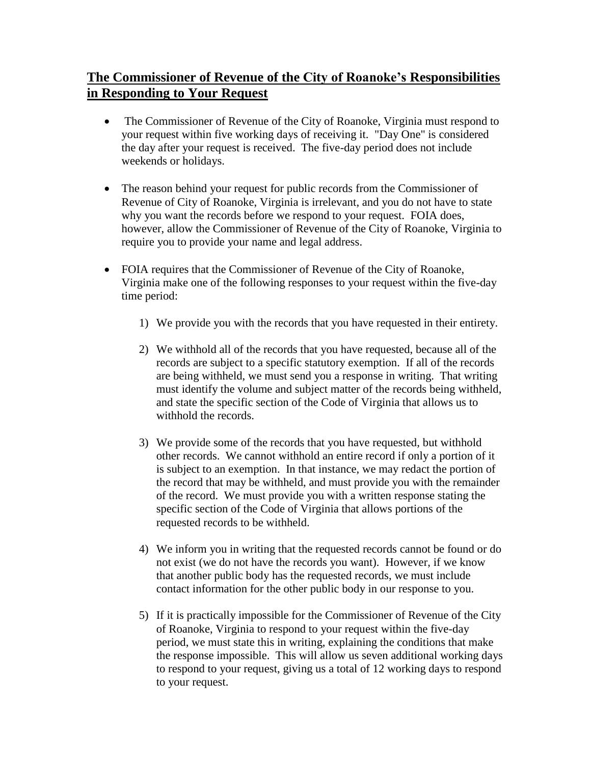## **The Commissioner of Revenue of the City of Roanoke's Responsibilities in Responding to Your Request**

- The Commissioner of Revenue of the City of Roanoke, Virginia must respond to your request within five working days of receiving it. "Day One" is considered the day after your request is received. The five-day period does not include weekends or holidays.
- The reason behind your request for public records from the Commissioner of Revenue of City of Roanoke, Virginia is irrelevant, and you do not have to state why you want the records before we respond to your request. FOIA does, however, allow the Commissioner of Revenue of the City of Roanoke, Virginia to require you to provide your name and legal address.
- FOIA requires that the Commissioner of Revenue of the City of Roanoke, Virginia make one of the following responses to your request within the five-day time period:
	- 1) We provide you with the records that you have requested in their entirety.
	- 2) We withhold all of the records that you have requested, because all of the records are subject to a specific statutory exemption. If all of the records are being withheld, we must send you a response in writing. That writing must identify the volume and subject matter of the records being withheld, and state the specific section of the Code of Virginia that allows us to withhold the records.
	- 3) We provide some of the records that you have requested, but withhold other records. We cannot withhold an entire record if only a portion of it is subject to an exemption. In that instance, we may redact the portion of the record that may be withheld, and must provide you with the remainder of the record. We must provide you with a written response stating the specific section of the Code of Virginia that allows portions of the requested records to be withheld.
	- 4) We inform you in writing that the requested records cannot be found or do not exist (we do not have the records you want). However, if we know that another public body has the requested records, we must include contact information for the other public body in our response to you.
	- 5) If it is practically impossible for the Commissioner of Revenue of the City of Roanoke, Virginia to respond to your request within the five-day period, we must state this in writing, explaining the conditions that make the response impossible. This will allow us seven additional working days to respond to your request, giving us a total of 12 working days to respond to your request.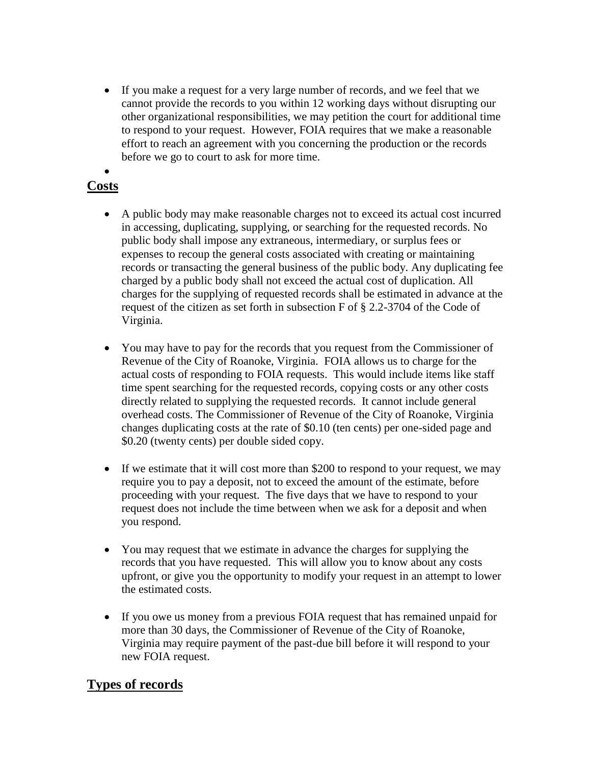If you make a request for a very large number of records, and we feel that we cannot provide the records to you within 12 working days without disrupting our other organizational responsibilities, we may petition the court for additional time to respond to your request. However, FOIA requires that we make a reasonable effort to reach an agreement with you concerning the production or the records before we go to court to ask for more time.

#### $\bullet$ **Costs**

- A public body may make reasonable charges not to exceed its actual cost incurred in accessing, duplicating, supplying, or searching for the requested records. No public body shall impose any extraneous, intermediary, or surplus fees or expenses to recoup the general costs associated with creating or maintaining records or transacting the general business of the public body. Any duplicating fee charged by a public body shall not exceed the actual cost of duplication. All charges for the supplying of requested records shall be estimated in advance at the request of the citizen as set forth in subsection F of § 2.2-3704 of the Code of Virginia.
- You may have to pay for the records that you request from the Commissioner of Revenue of the City of Roanoke, Virginia. FOIA allows us to charge for the actual costs of responding to FOIA requests. This would include items like staff time spent searching for the requested records, copying costs or any other costs directly related to supplying the requested records. It cannot include general overhead costs. The Commissioner of Revenue of the City of Roanoke, Virginia changes duplicating costs at the rate of \$0.10 (ten cents) per one-sided page and \$0.20 (twenty cents) per double sided copy.
- If we estimate that it will cost more than \$200 to respond to your request, we may require you to pay a deposit, not to exceed the amount of the estimate, before proceeding with your request. The five days that we have to respond to your request does not include the time between when we ask for a deposit and when you respond.
- You may request that we estimate in advance the charges for supplying the records that you have requested. This will allow you to know about any costs upfront, or give you the opportunity to modify your request in an attempt to lower the estimated costs.
- If you owe us money from a previous FOIA request that has remained unpaid for more than 30 days, the Commissioner of Revenue of the City of Roanoke, Virginia may require payment of the past-due bill before it will respond to your new FOIA request.

### **Types of records**